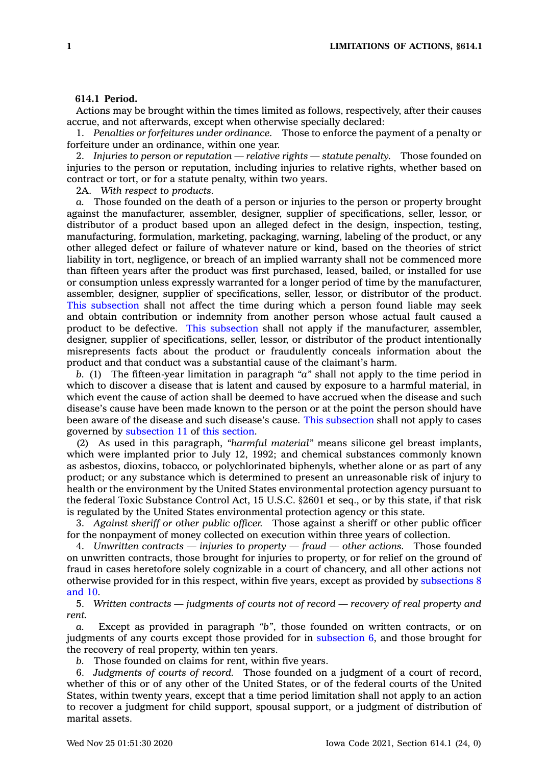## **614.1 Period.**

Actions may be brought within the times limited as follows, respectively, after their causes accrue, and not afterwards, except when otherwise specially declared:

1. *Penalties or forfeitures under ordinance.* Those to enforce the payment of <sup>a</sup> penalty or forfeiture under an ordinance, within one year.

2. *Injuries to person or reputation — relative rights — statute penalty.* Those founded on injuries to the person or reputation, including injuries to relative rights, whether based on contract or tort, or for <sup>a</sup> statute penalty, within two years.

2A. *With respect to products.*

*a.* Those founded on the death of <sup>a</sup> person or injuries to the person or property brought against the manufacturer, assembler, designer, supplier of specifications, seller, lessor, or distributor of <sup>a</sup> product based upon an alleged defect in the design, inspection, testing, manufacturing, formulation, marketing, packaging, warning, labeling of the product, or any other alleged defect or failure of whatever nature or kind, based on the theories of strict liability in tort, negligence, or breach of an implied warranty shall not be commenced more than fifteen years after the product was first purchased, leased, bailed, or installed for use or consumption unless expressly warranted for <sup>a</sup> longer period of time by the manufacturer, assembler, designer, supplier of specifications, seller, lessor, or distributor of the product. This [subsection](https://www.legis.iowa.gov/docs/code/614.1.pdf) shall not affect the time during which <sup>a</sup> person found liable may seek and obtain contribution or indemnity from another person whose actual fault caused <sup>a</sup> product to be defective. This [subsection](https://www.legis.iowa.gov/docs/code/614.1.pdf) shall not apply if the manufacturer, assembler, designer, supplier of specifications, seller, lessor, or distributor of the product intentionally misrepresents facts about the product or fraudulently conceals information about the product and that conduct was <sup>a</sup> substantial cause of the claimant's harm.

*b.* (1) The fifteen-year limitation in paragraph *"a"* shall not apply to the time period in which to discover <sup>a</sup> disease that is latent and caused by exposure to <sup>a</sup> harmful material, in which event the cause of action shall be deemed to have accrued when the disease and such disease's cause have been made known to the person or at the point the person should have been aware of the disease and such disease's cause. This [subsection](https://www.legis.iowa.gov/docs/code/614.1.pdf) shall not apply to cases governed by [subsection](https://www.legis.iowa.gov/docs/code/614.1.pdf) 11 of this [section](https://www.legis.iowa.gov/docs/code/614.1.pdf).

(2) As used in this paragraph, *"harmful material"* means silicone gel breast implants, which were implanted prior to July 12, 1992; and chemical substances commonly known as asbestos, dioxins, tobacco, or polychlorinated biphenyls, whether alone or as part of any product; or any substance which is determined to present an unreasonable risk of injury to health or the environment by the United States environmental protection agency pursuant to the federal Toxic Substance Control Act, 15 U.S.C. §2601 et seq., or by this state, if that risk is regulated by the United States environmental protection agency or this state.

3. *Against sheriff or other public officer.* Those against <sup>a</sup> sheriff or other public officer for the nonpayment of money collected on execution within three years of collection.

4. *Unwritten contracts — injuries to property — fraud — other actions.* Those founded on unwritten contracts, those brought for injuries to property, or for relief on the ground of fraud in cases heretofore solely cognizable in <sup>a</sup> court of chancery, and all other actions not otherwise provided for in this respect, within five years, except as provided by [subsections](https://www.legis.iowa.gov/docs/code/614.1.pdf) 8 [and](https://www.legis.iowa.gov/docs/code/614.1.pdf) 10.

5. *Written contracts — judgments of courts not of record — recovery of real property and rent.*

*a.* Except as provided in paragraph *"b"*, those founded on written contracts, or on judgments of any courts except those provided for in [subsection](https://www.legis.iowa.gov/docs/code/614.1.pdf) 6, and those brought for the recovery of real property, within ten years.

*b.* Those founded on claims for rent, within five years.

6. *Judgments of courts of record.* Those founded on <sup>a</sup> judgment of <sup>a</sup> court of record, whether of this or of any other of the United States, or of the federal courts of the United States, within twenty years, except that <sup>a</sup> time period limitation shall not apply to an action to recover <sup>a</sup> judgment for child support, spousal support, or <sup>a</sup> judgment of distribution of marital assets.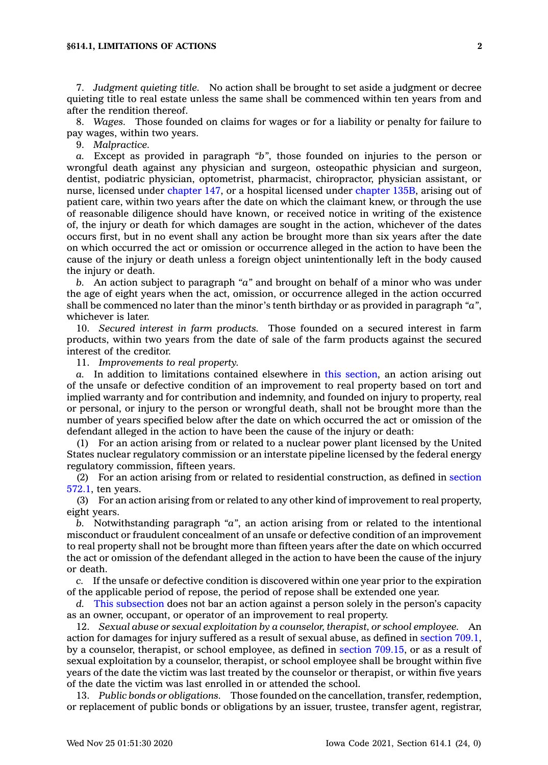7. *Judgment quieting title.* No action shall be brought to set aside <sup>a</sup> judgment or decree quieting title to real estate unless the same shall be commenced within ten years from and after the rendition thereof.

8. *Wages.* Those founded on claims for wages or for <sup>a</sup> liability or penalty for failure to pay wages, within two years.

9. *Malpractice.*

*a.* Except as provided in paragraph *"b"*, those founded on injuries to the person or wrongful death against any physician and surgeon, osteopathic physician and surgeon, dentist, podiatric physician, optometrist, pharmacist, chiropractor, physician assistant, or nurse, licensed under [chapter](https://www.legis.iowa.gov/docs/code//147.pdf) 147, or <sup>a</sup> hospital licensed under [chapter](https://www.legis.iowa.gov/docs/code//135B.pdf) 135B, arising out of patient care, within two years after the date on which the claimant knew, or through the use of reasonable diligence should have known, or received notice in writing of the existence of, the injury or death for which damages are sought in the action, whichever of the dates occurs first, but in no event shall any action be brought more than six years after the date on which occurred the act or omission or occurrence alleged in the action to have been the cause of the injury or death unless <sup>a</sup> foreign object unintentionally left in the body caused the injury or death.

*b.* An action subject to paragraph *"a"* and brought on behalf of <sup>a</sup> minor who was under the age of eight years when the act, omission, or occurrence alleged in the action occurred shall be commenced no later than the minor's tenth birthday or as provided in paragraph *"a"*, whichever is later.

10. *Secured interest in farm products.* Those founded on <sup>a</sup> secured interest in farm products, within two years from the date of sale of the farm products against the secured interest of the creditor.

11. *Improvements to real property.*

*a.* In addition to limitations contained elsewhere in this [section](https://www.legis.iowa.gov/docs/code/614.1.pdf), an action arising out of the unsafe or defective condition of an improvement to real property based on tort and implied warranty and for contribution and indemnity, and founded on injury to property, real or personal, or injury to the person or wrongful death, shall not be brought more than the number of years specified below after the date on which occurred the act or omission of the defendant alleged in the action to have been the cause of the injury or death:

(1) For an action arising from or related to <sup>a</sup> nuclear power plant licensed by the United States nuclear regulatory commission or an interstate pipeline licensed by the federal energy regulatory commission, fifteen years.

(2) For an action arising from or related to residential construction, as defined in [section](https://www.legis.iowa.gov/docs/code/572.1.pdf) [572.1](https://www.legis.iowa.gov/docs/code/572.1.pdf), ten years.

(3) For an action arising from or related to any other kind of improvement to real property, eight years.

*b.* Notwithstanding paragraph *"a"*, an action arising from or related to the intentional misconduct or fraudulent concealment of an unsafe or defective condition of an improvement to real property shall not be brought more than fifteen years after the date on which occurred the act or omission of the defendant alleged in the action to have been the cause of the injury or death.

*c.* If the unsafe or defective condition is discovered within one year prior to the expiration of the applicable period of repose, the period of repose shall be extended one year.

*d.* This [subsection](https://www.legis.iowa.gov/docs/code/614.1.pdf) does not bar an action against <sup>a</sup> person solely in the person's capacity as an owner, occupant, or operator of an improvement to real property.

12. *Sexual abuse or sexual exploitation by <sup>a</sup> counselor, therapist, or school employee.* An action for damages for injury suffered as <sup>a</sup> result of sexual abuse, as defined in [section](https://www.legis.iowa.gov/docs/code/709.1.pdf) 709.1, by <sup>a</sup> counselor, therapist, or school employee, as defined in section [709.15](https://www.legis.iowa.gov/docs/code/709.15.pdf), or as <sup>a</sup> result of sexual exploitation by <sup>a</sup> counselor, therapist, or school employee shall be brought within five years of the date the victim was last treated by the counselor or therapist, or within five years of the date the victim was last enrolled in or attended the school.

13. *Public bonds or obligations.* Those founded on the cancellation, transfer, redemption, or replacement of public bonds or obligations by an issuer, trustee, transfer agent, registrar,